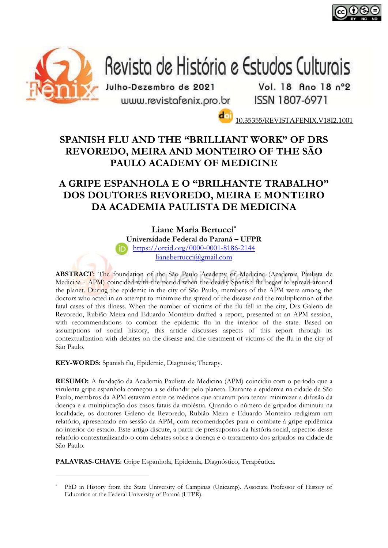



# Revista de História e Estudos Culturais

Julho-Dezembro de 2021 www.revistafenix.pro.br

Vol. 18 Ano 18 n°2 ISSN 1807-6971

10.35355/REVISTAFENIX.V18I2.1001

# **SPANISH FLU AND THE "BRILLIANT WORK" OF DRS REVOREDO, MEIRA AND MONTEIRO OF THE SÃO PAULO ACADEMY OF MEDICINE**

# **A GRIPE ESPANHOLA E O "BRILHANTE TRABALHO" DOS DOUTORES REVOREDO, MEIRA E MONTEIRO DA ACADEMIA PAULISTA DE MEDICINA**

**Liane Maria Bertucci \***

**Universidade Federal do Paraná – UFPR**

<https://orcid.org/0000-0001-8186-2144>

[lianebertucci@gmail.com](mailto:lianebertucci@gmail.com)

**ABSTRACT:** The foundation of the São Paulo Academy of Medicine (Academia Paulista de Medicina - APM) coincided with the period when the deadly Spanish flu began to spread around the planet. During the epidemic in the city of São Paulo, members of the APM were among the doctors who acted in an attempt to minimize the spread of the disease and the multiplication of the fatal cases of this illness. When the number of victims of the flu fell in the city, Drs Galeno de Revoredo, Rubião Meira and Eduardo Monteiro drafted a report, presented at an APM session, with recommendations to combat the epidemic flu in the interior of the state. Based on assumptions of social history, this article discusses aspects of this report through its contextualization with debates on the disease and the treatment of victims of the flu in the city of São Paulo.

**KEY-WORDS:** Spanish flu, Epidemic, Diagnosis; Therapy.

**RESUMO:** A fundação da Academia Paulista de Medicina (APM) coincidiu com o período que a virulenta gripe espanhola começou a se difundir pelo planeta. Durante a epidemia na cidade de São Paulo, membros da APM estavam entre os médicos que atuaram para tentar minimizar a difusão da doença e a multiplicação dos casos fatais da moléstia. Quando o número de gripados diminuiu na localidade, os doutores Galeno de Revoredo, Rubião Meira e Eduardo Monteiro redigiram um relatório, apresentado em sessão da APM, com recomendações para o combate à gripe epidêmica no interior do estado. Este artigo discute, a partir de pressupostos da história social, aspectos desse relatório contextualizando-o com debates sobre a doença e o tratamento dos gripados na cidade de São Paulo.

**PALAVRAS-CHAVE:** Gripe Espanhola, Epidemia, Diagnóstico, Terapêutica.

PhD in History from the State University of Campinas (Unicamp). Associate Professor of History of Education at the Federal University of Paraná (UFPR).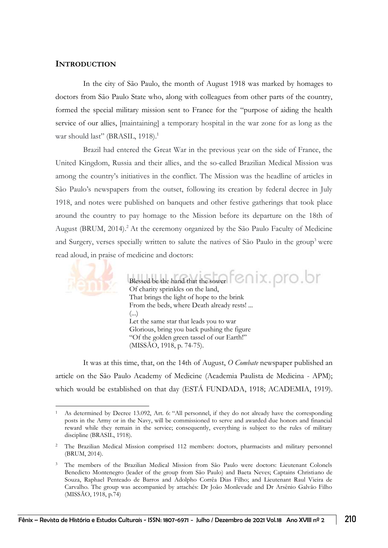#### **INTRODUCTION**

In the city of São Paulo, the month of August 1918 was marked by homages to doctors from São Paulo State who, along with colleagues from other parts of the country, formed the special military mission sent to France for the "purpose of aiding the health service of our allies, [maintaining] a temporary hospital in the war zone for as long as the war should last" (BRASIL, 1918). 1

Brazil had entered the Great War in the previous year on the side of France, the United Kingdom, Russia and their allies, and the so-called Brazilian Medical Mission was among the country's initiatives in the conflict. The Mission was the headline of articles in São Paulo's newspapers from the outset, following its creation by federal decree in July 1918, and notes were published on banquets and other festive gatherings that took place around the country to pay homage to the Mission before its departure on the 18th of August (BRUM, 2014). <sup>2</sup> At the ceremony organized by the São Paulo Faculty of Medicine and Surgery, verses specially written to salute the natives of São Paulo in the group<sup>3</sup> were read aloud, in praise of medicine and doctors:



Blessed be the hand that the sower  $\bigcirc$   $\cap$   $\circ$   $\circ$   $\circ$   $\circ$   $\circ$   $\circ$   $\circ$ Of charity sprinkles on the land, That brings the light of hope to the brink From the beds, where Death already rests! ... (...) Let the same star that leads you to war Glorious, bring you back pushing the figure "Of the golden green tassel of our Earth!" (MISSÃO, 1918, p. 74-75).

It was at this time, that, on the 14th of August, *O Combate* newspaper published an article on the São Paulo Academy of Medicine (Academia Paulista de Medicina - APM); which would be established on that day (ESTÁ FUNDADA, 1918; ACADEMIA, 1919).

<sup>1</sup> As determined by Decree 13.092, Art. 6: "All personnel, if they do not already have the corresponding posts in the Army or in the Navy, will be commissioned to serve and awarded due honors and financial reward while they remain in the service; consequently, everything is subject to the rules of military discipline (BRASIL, 1918).

<sup>&</sup>lt;sup>2</sup> The Brazilian Medical Mission comprised 112 members: doctors, pharmacists and military personnel (BRUM, 2014).

<sup>3</sup> The members of the Brazilian Medical Mission from São Paulo were doctors: Lieutenant Colonels Benedicto Montenegro (leader of the group from São Paulo) and Baeta Neves; Captains Christiano de Souza, Raphael Penteado de Barros and Adolpho Corrêa Dias Filho; and Lieutenant Raul Vieira de Carvalho. The group was accompanied by attachés: Dr João Monlevade and Dr Arsênio Galvão Filho (MISSÃO, 1918, p.74)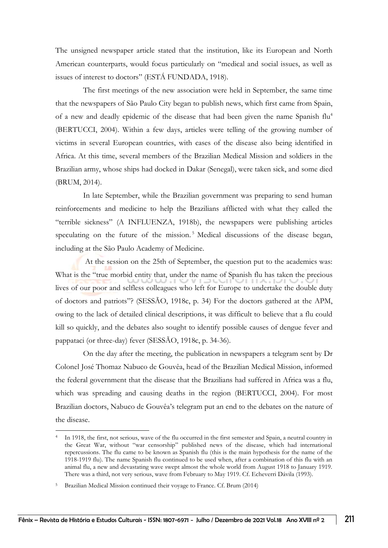The unsigned newspaper article stated that the institution, like its European and North American counterparts, would focus particularly on "medical and social issues, as well as issues of interest to doctors" (ESTÁ FUNDADA, 1918).

The first meetings of the new association were held in September, the same time that the newspapers of São Paulo City began to publish news, which first came from Spain, of a new and deadly epidemic of the disease that had been given the name Spanish flu<sup>4</sup> (BERTUCCI, 2004). Within a few days, articles were telling of the growing number of victims in several European countries, with cases of the disease also being identified in Africa. At this time, several members of the Brazilian Medical Mission and soldiers in the Brazilian army, whose ships had docked in Dakar (Senegal), were taken sick, and some died (BRUM, 2014).

In late September, while the Brazilian government was preparing to send human reinforcements and medicine to help the Brazilians afflicted with what they called the "terrible sickness" (A INFLUENZA, 1918b), the newspapers were publishing articles speculating on the future of the mission. <sup>5</sup> Medical discussions of the disease began, including at the São Paulo Academy of Medicine.

At the session on the 25th of September, the question put to the academics was: What is the "true morbid entity that, under the name of Spanish flu has taken the precious lives of our poor and selfless colleagues who left for Europe to undertake the double duty of doctors and patriots"? (SESSÃO, 1918c, p. 34) For the doctors gathered at the APM, owing to the lack of detailed clinical descriptions, it was difficult to believe that a flu could kill so quickly, and the debates also sought to identify possible causes of dengue fever and pappataci (or three-day) fever (SESSÃO, 1918c, p. 34-36).

On the day after the meeting, the publication in newspapers a telegram sent by Dr Colonel José Thomaz Nabuco de Gouvêa, head of the Brazilian Medical Mission, informed the federal government that the disease that the Brazilians had suffered in Africa was a flu, which was spreading and causing deaths in the region (BERTUCCI, 2004). For most Brazilian doctors, Nabuco de Gouvêa's telegram put an end to the debates on the nature of the disease.

In 1918, the first, not serious, wave of the flu occurred in the first semester and Spain, a neutral country in the Great War, without "war censorship" published news of the disease, which had international repercussions. The flu came to be known as Spanish flu (this is the main hypothesis for the name of the 1918-1919 flu). The name Spanish flu continued to be used when, after a combination of this flu with an animal flu, a new and devastating wave swept almost the whole world from August 1918 to January 1919. There was a third, not very serious, wave from February to May 1919. Cf. Echeverri Dávila (1993).

<sup>5</sup> Brazilian Medical Mission continued their voyage to France. Cf. Brum (2014)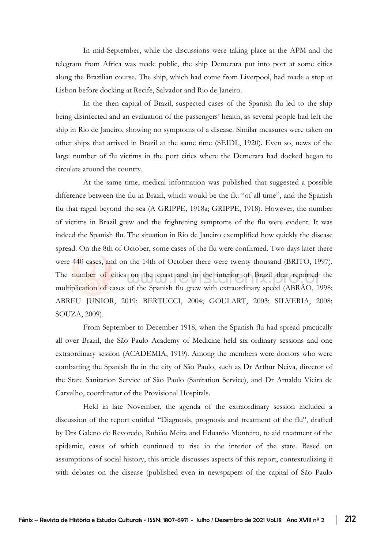In mid-September, while the discussions were taking place at the APM and the telegram from Africa was made public, the ship Demerara put into port at some cities along the Brazilian course. The ship, which had come from Liverpool, had made a stop at Lisbon before docking at Recife, Salvador and Rio de Janeiro.

In the then capital of Brazil, suspected cases of the Spanish flu led to the ship being disinfected and an evaluation of the passengers' health, as several people had left the ship in Rio de Janeiro, showing no symptoms of a disease. Similar measures were taken on other ships that arrived in Brazil at the same time (SEIDL, 1920). Even so, news of the large number of flu victims in the port cities where the Demerara had docked began to circulate around the country.

At the same time, medical information was published that suggested a possible difference between the flu in Brazil, which would be the flu "of all time", and the Spanish flu that raged beyond the sea (A GRIPPE, 1918a; GRIPPE, 1918). However, the number of victims in Brazil grew and the frightening symptoms of the flu were evident. It was indeed the Spanish flu. The situation in Rio de Janeiro exemplified how quickly the disease spread. On the 8th of October, some cases of the flu were confirmed. Two days later there were 440 cases, and on the 14th of October there were twenty thousand (BRITO, 1997). The number of cities on the coast and in the interior of Brazil that reported the multiplication of cases of the Spanish flu grew with extraordinary speed (ABRÃO, 1998; ABREU JUNIOR, 2019; BERTUCCI, 2004; GOULART, 2003; SILVERIA, 2008; SOUZA, 2009).

From September to December 1918, when the Spanish flu had spread practically all over Brazil, the São Paulo Academy of Medicine held six ordinary sessions and one extraordinary session (ACADEMIA, 1919). Among the members were doctors who were combatting the Spanish flu in the city of São Paulo, such as Dr Arthur Neiva, director of the State Sanitation Service of São Paulo (Sanitation Service), and Dr Arnaldo Vieira de Carvalho, coordinator of the Provisional Hospitals.

Held in late November, the agenda of the extraordinary session included a discussion of the report entitled "Diagnosis, prognosis and treatment of the flu", drafted by Drs Galeno de Revoredo, Rubião Meira and Eduardo Monteiro, to aid treatment of the epidemic, cases of which continued to rise in the interior of the state. Based on assumptions of social history, this article discusses aspects of this report, contextualizing it with debates on the disease (published even in newspapers of the capital of São Paulo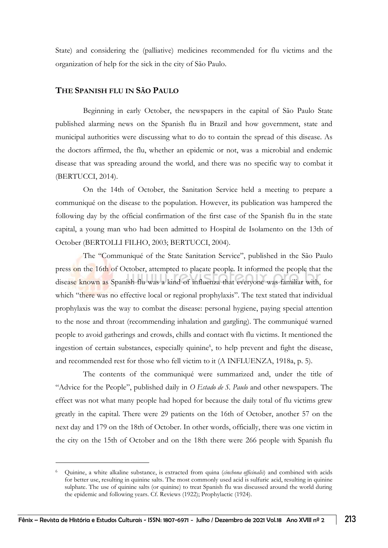State) and considering the (palliative) medicines recommended for flu victims and the organization of help for the sick in the city of São Paulo.

#### **THE SPANISH FLU IN SÃO PAULO**

Beginning in early October, the newspapers in the capital of São Paulo State published alarming news on the Spanish flu in Brazil and how government, state and municipal authorities were discussing what to do to contain the spread of this disease. As the doctors affirmed, the flu, whether an epidemic or not, was a microbial and endemic disease that was spreading around the world, and there was no specific way to combat it (BERTUCCI, 2014).

On the 14th of October, the Sanitation Service held a meeting to prepare a communiqué on the disease to the population. However, its publication was hampered the following day by the official confirmation of the first case of the Spanish flu in the state capital, a young man who had been admitted to Hospital de Isolamento on the 13th of October (BERTOLLI FILHO, 2003; BERTUCCI, 2004).

The "Communiqué of the State Sanitation Service", published in the São Paulo press on the 16th of October, attempted to placate people. It informed the people that the disease known as Spanish flu was a kind of influenza that everyone was familiar with, for which "there was no effective local or regional prophylaxis". The text stated that individual prophylaxis was the way to combat the disease: personal hygiene, paying special attention to the nose and throat (recommending inhalation and gargling). The communiqué warned people to avoid gatherings and crowds, chills and contact with flu victims. It mentioned the ingestion of certain substances, especially quinine<sup>6</sup>, to help prevent and fight the disease, and recommended rest for those who fell victim to it (A INFLUENZA, 1918a, p. 5).

The contents of the communiqué were summarized and, under the title of "Advice for the People", published daily in *O Estado de S. Paulo* and other newspapers. The effect was not what many people had hoped for because the daily total of flu victims grew greatly in the capital. There were 29 patients on the 16th of October, another 57 on the next day and 179 on the 18th of October. In other words, officially, there was one victim in the city on the 15th of October and on the 18th there were 266 people with Spanish flu

<sup>6</sup> Quinine, a white alkaline substance, is extracted from quina (*cinchona officinalis*) and combined with acids for better use, resulting in quinine salts. The most commonly used acid is sulfuric acid, resulting in quinine sulphate. The use of quinine salts (or quinine) to treat Spanish flu was discussed around the world during the epidemic and following years. Cf. Reviews (1922); Prophylactic (1924).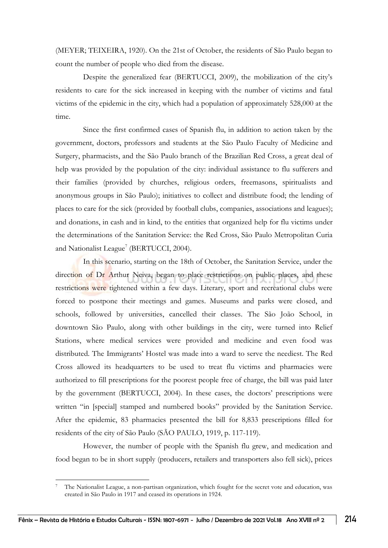(MEYER; TEIXEIRA, 1920). On the 21st of October, the residents of São Paulo began to count the number of people who died from the disease.

Despite the generalized fear (BERTUCCI, 2009), the mobilization of the city's residents to care for the sick increased in keeping with the number of victims and fatal victims of the epidemic in the city, which had a population of approximately 528,000 at the time.

Since the first confirmed cases of Spanish flu, in addition to action taken by the government, doctors, professors and students at the São Paulo Faculty of Medicine and Surgery, pharmacists, and the São Paulo branch of the Brazilian Red Cross, a great deal of help was provided by the population of the city: individual assistance to flu sufferers and their families (provided by churches, religious orders, freemasons, spiritualists and anonymous groups in São Paulo); initiatives to collect and distribute food; the lending of places to care for the sick (provided by football clubs, companies, associations and leagues); and donations, in cash and in kind, to the entities that organized help for flu victims under the determinations of the Sanitation Service: the Red Cross, São Paulo Metropolitan Curia and Nationalist League<sup>7</sup> (BERTUCCI, 2004).

In this scenario, starting on the 18th of October, the Sanitation Service, under the direction of Dr Arthur Neiva, began to place restrictions on public places, and these restrictions were tightened within a few days. Literary, sport and recreational clubs were forced to postpone their meetings and games. Museums and parks were closed, and schools, followed by universities, cancelled their classes. The São João School, in downtown São Paulo, along with other buildings in the city, were turned into Relief Stations, where medical services were provided and medicine and even food was distributed. The Immigrants' Hostel was made into a ward to serve the neediest. The Red Cross allowed its headquarters to be used to treat flu victims and pharmacies were authorized to fill prescriptions for the poorest people free of charge, the bill was paid later by the government (BERTUCCI, 2004). In these cases, the doctors' prescriptions were written "in [special] stamped and numbered books" provided by the Sanitation Service. After the epidemic, 83 pharmacies presented the bill for 8,833 prescriptions filled for residents of the city of São Paulo (SÃO PAULO, 1919, p. 117-119).

However, the number of people with the Spanish flu grew, and medication and food began to be in short supply (producers, retailers and transporters also fell sick), prices

<sup>7</sup> The Nationalist League, a non-partisan organization, which fought for the secret vote and education, was created in São Paulo in 1917 and ceased its operations in 1924.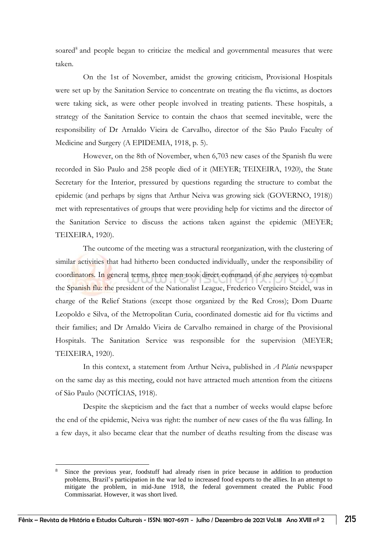soared<sup>8</sup> and people began to criticize the medical and governmental measures that were taken.

On the 1st of November, amidst the growing criticism, Provisional Hospitals were set up by the Sanitation Service to concentrate on treating the flu victims, as doctors were taking sick, as were other people involved in treating patients. These hospitals, a strategy of the Sanitation Service to contain the chaos that seemed inevitable, were the responsibility of Dr Arnaldo Vieira de Carvalho, director of the São Paulo Faculty of Medicine and Surgery (A EPIDEMIA, 1918, p. 5).

However, on the 8th of November, when 6,703 new cases of the Spanish flu were recorded in São Paulo and 258 people died of it (MEYER; TEIXEIRA, 1920), the State Secretary for the Interior, pressured by questions regarding the structure to combat the epidemic (and perhaps by signs that Arthur Neiva was growing sick (GOVERNO, 1918)) met with representatives of groups that were providing help for victims and the director of the Sanitation Service to discuss the actions taken against the epidemic (MEYER; TEIXEIRA, 1920).

The outcome of the meeting was a structural reorganization, with the clustering of similar activities that had hitherto been conducted individually, under the responsibility of coordinators. In general terms, three men took direct command of the services to combat the Spanish flu: the president of the Nationalist League, Frederico Vergueiro Steidel, was in charge of the Relief Stations (except those organized by the Red Cross); Dom Duarte Leopoldo e Silva, of the Metropolitan Curia, coordinated domestic aid for flu victims and their families; and Dr Arnaldo Vieira de Carvalho remained in charge of the Provisional Hospitals. The Sanitation Service was responsible for the supervision (MEYER; TEIXEIRA, 1920).

In this context, a statement from Arthur Neiva, published in *A Platéa* newspaper on the same day as this meeting, could not have attracted much attention from the citizens of São Paulo (NOTÍCIAS, 1918).

Despite the skepticism and the fact that a number of weeks would elapse before the end of the epidemic, Neiva was right: the number of new cases of the flu was falling. In a few days, it also became clear that the number of deaths resulting from the disease was

<sup>8</sup> Since the previous year, foodstuff had already risen in price because in addition to production problems, Brazil's participation in the war led to increased food exports to the allies. In an attempt to mitigate the problem, in mid-June 1918, the federal government created the Public Food Commissariat. However, it was short lived.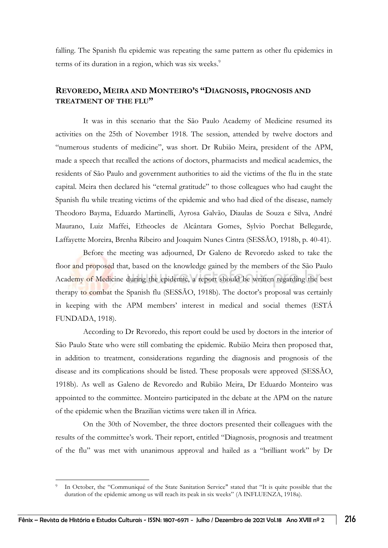falling. The Spanish flu epidemic was repeating the same pattern as other flu epidemics in terms of its duration in a region, which was six weeks.<sup>9</sup>

## **REVOREDO, MEIRA AND MONTEIRO'S "DIAGNOSIS, PROGNOSIS AND TREATMENT OF THE FLU"**

It was in this scenario that the São Paulo Academy of Medicine resumed its activities on the 25th of November 1918. The session, attended by twelve doctors and "numerous students of medicine", was short. Dr Rubião Meira, president of the APM, made a speech that recalled the actions of doctors, pharmacists and medical academics, the residents of São Paulo and government authorities to aid the victims of the flu in the state capital. Meira then declared his "eternal gratitude" to those colleagues who had caught the Spanish flu while treating victims of the epidemic and who had died of the disease, namely Theodoro Bayma, Eduardo Martinelli, Ayrosa Galvão, Diaulas de Souza e Silva, André Maurano, Luiz Maffei, Etheocles de Alcântara Gomes, Sylvio Porchat Bellegarde, Laffayette Moreira, Brenha Ribeiro and Joaquim Nunes Cintra (SESSÃO, 1918b, p. 40-41).

Before the meeting was adjourned, Dr Galeno de Revoredo asked to take the floor and proposed that, based on the knowledge gained by the members of the São Paulo Academy of Medicine during the epidemic, a report should be written regarding the best therapy to combat the Spanish flu (SESSÃO, 1918b). The doctor's proposal was certainly in keeping with the APM members' interest in medical and social themes (ESTÁ FUNDADA, 1918).

According to Dr Revoredo, this report could be used by doctors in the interior of São Paulo State who were still combating the epidemic. Rubião Meira then proposed that, in addition to treatment, considerations regarding the diagnosis and prognosis of the disease and its complications should be listed. These proposals were approved (SESSÃO, 1918b). As well as Galeno de Revoredo and Rubião Meira, Dr Eduardo Monteiro was appointed to the committee. Monteiro participated in the debate at the APM on the nature of the epidemic when the Brazilian victims were taken ill in Africa.

On the 30th of November, the three doctors presented their colleagues with the results of the committee's work. Their report, entitled "Diagnosis, prognosis and treatment of the flu" was met with unanimous approval and hailed as a "brilliant work" by Dr

In October, the "Communiqué of the State Sanitation Service" stated that "It is quite possible that the duration of the epidemic among us will reach its peak in six weeks" (A INFLUENZA, 1918a).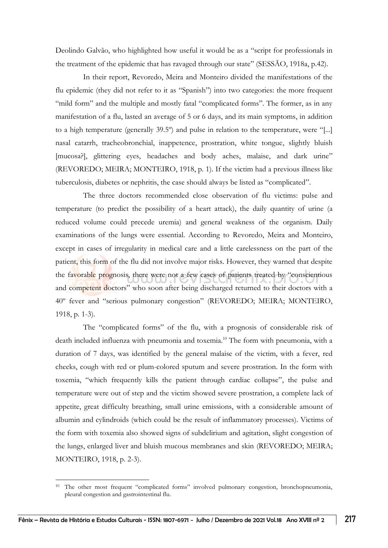Deolindo Galvão, who highlighted how useful it would be as a "script for professionals in the treatment of the epidemic that has ravaged through our state" (SESSÃO, 1918a, p.42).

In their report, Revoredo, Meira and Monteiro divided the manifestations of the flu epidemic (they did not refer to it as "Spanish") into two categories: the more frequent "mild form" and the multiple and mostly fatal "complicated forms". The former, as in any manifestation of a flu, lasted an average of 5 or 6 days, and its main symptoms, in addition to a high temperature (generally 39.5º) and pulse in relation to the temperature, were "[...] nasal catarrh, tracheobronchial, inappetence, prostration, white tongue, slightly bluish [mucosa?], glittering eyes, headaches and body aches, malaise, and dark urine" (REVOREDO; MEIRA; MONTEIRO, 1918, p. 1). If the victim had a previous illness like tuberculosis, diabetes or nephritis, the case should always be listed as "complicated".

The three doctors recommended close observation of flu victims: pulse and temperature (to predict the possibility of a heart attack), the daily quantity of urine (a reduced volume could precede uremia) and general weakness of the organism. Daily examinations of the lungs were essential. According to Revoredo, Meira and Monteiro, except in cases of irregularity in medical care and a little carelessness on the part of the patient, this form of the flu did not involve major risks. However, they warned that despite the favorable prognosis, there were not a few cases of patients treated by "conscientious and competent doctors" who soon after being discharged returned to their doctors with a 40º fever and "serious pulmonary congestion" (REVOREDO; MEIRA; MONTEIRO, 1918, p. 1-3).

The "complicated forms" of the flu, with a prognosis of considerable risk of death included influenza with pneumonia and toxemia. <sup>10</sup> The form with pneumonia, with a duration of 7 days, was identified by the general malaise of the victim, with a fever, red cheeks, cough with red or plum-colored sputum and severe prostration. In the form with toxemia, "which frequently kills the patient through cardiac collapse", the pulse and temperature were out of step and the victim showed severe prostration, a complete lack of appetite, great difficulty breathing, small urine emissions, with a considerable amount of albumin and cylindroids (which could be the result of inflammatory processes). Victims of the form with toxemia also showed signs of subdelirium and agitation, slight congestion of the lungs, enlarged liver and bluish mucous membranes and skin (REVOREDO; MEIRA; MONTEIRO, 1918, p. 2-3).

<sup>&</sup>lt;sup>10</sup> The other most frequent "complicated forms" involved pulmonary congestion, bronchopneumonia, pleural congestion and gastrointestinal flu.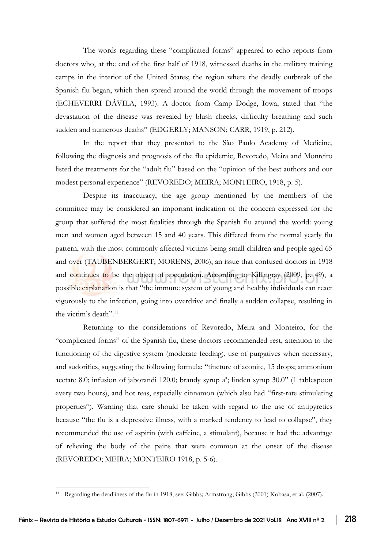The words regarding these "complicated forms" appeared to echo reports from doctors who, at the end of the first half of 1918, witnessed deaths in the military training camps in the interior of the United States; the region where the deadly outbreak of the Spanish flu began, which then spread around the world through the movement of troops (ECHEVERRI DÁVILA, 1993). A doctor from Camp Dodge, Iowa, stated that "the devastation of the disease was revealed by blush cheeks, difficulty breathing and such sudden and numerous deaths" (EDGERLY; MANSON; CARR, 1919, p. 212).

In the report that they presented to the São Paulo Academy of Medicine, following the diagnosis and prognosis of the flu epidemic, Revoredo, Meira and Monteiro listed the treatments for the "adult flu" based on the "opinion of the best authors and our modest personal experience" (REVOREDO; MEIRA; MONTEIRO, 1918, p. 5).

Despite its inaccuracy, the age group mentioned by the members of the committee may be considered an important indication of the concern expressed for the group that suffered the most fatalities through the Spanish flu around the world: young men and women aged between 15 and 40 years. This differed from the normal yearly flu pattern, with the most commonly affected victims being small children and people aged 65 and over (TAUBENBERGERT; MORENS, 2006), an issue that confused doctors in 1918 and continues to be the object of speculation. According to Killingray (2009, p. 49), a possible explanation is that "the immune system of young and healthy individuals can react vigorously to the infection, going into overdrive and finally a sudden collapse, resulting in the victim's death". 11

Returning to the considerations of Revoredo, Meira and Monteiro, for the "complicated forms" of the Spanish flu, these doctors recommended rest, attention to the functioning of the digestive system (moderate feeding), use of purgatives when necessary, and sudorifics, suggesting the following formula: "tincture of aconite, 15 drops; ammonium acetate 8.0; infusion of jaborandi 120.0; brandy syrup aª; linden syrup 30.0" (1 tablespoon every two hours), and hot teas, especially cinnamon (which also had "first-rate stimulating properties"). Warning that care should be taken with regard to the use of antipyretics because "the flu is a depressive illness, with a marked tendency to lead to collapse", they recommended the use of aspirin (with caffeine, a stimulant), because it had the advantage of relieving the body of the pains that were common at the onset of the disease (REVOREDO; MEIRA; MONTEIRO 1918, p. 5-6).

<sup>11</sup> Regarding the deadliness of the flu in 1918, see: Gibbs; Armstrong; Gibbs (2001) Kobasa, et al. (2007).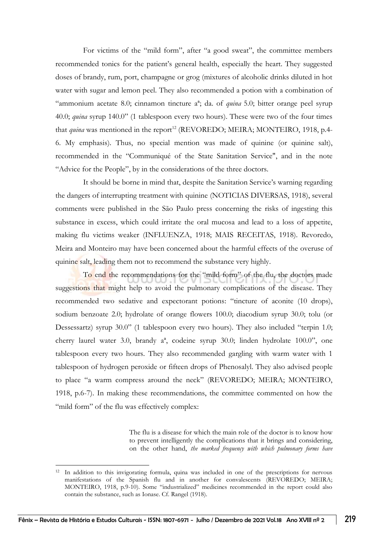For victims of the "mild form", after "a good sweat", the committee members recommended tonics for the patient's general health, especially the heart. They suggested doses of brandy, rum, port, champagne or grog (mixtures of alcoholic drinks diluted in hot water with sugar and lemon peel. They also recommended a potion with a combination of "ammonium acetate 8.0; cinnamon tincture aª; da. of *quina* 5.0; bitter orange peel syrup 40.0; *quina* syrup 140.0" (1 tablespoon every two hours). These were two of the four times that *quina* was mentioned in the report<sup>12</sup> (REVOREDO; MEIRA; MONTEIRO, 1918, p.4-6. My emphasis). Thus, no special mention was made of quinine (or quinine salt), recommended in the "Communiqué of the State Sanitation Service", and in the note "Advice for the People", by in the considerations of the three doctors.

It should be borne in mind that, despite the Sanitation Service's warning regarding the dangers of interrupting treatment with quinine (NOTICIAS DIVERSAS, 1918), several comments were published in the São Paulo press concerning the risks of ingesting this substance in excess, which could irritate the oral mucosa and lead to a loss of appetite, making flu victims weaker (INFLUENZA, 1918; MAIS RECEITAS, 1918). Revoredo, Meira and Monteiro may have been concerned about the harmful effects of the overuse of quinine salt, leading them not to recommend the substance very highly.

To end the recommendations for the "mild form" of the flu, the doctors made suggestions that might help to avoid the pulmonary complications of the disease. They recommended two sedative and expectorant potions: "tincture of aconite (10 drops), sodium benzoate 2.0; hydrolate of orange flowers 100.0; diacodium syrup 30.0; tolu (or Dessessartz) syrup 30.0" (1 tablespoon every two hours). They also included "terpin 1.0; cherry laurel water 3.0, brandy aª, codeine syrup 30.0; linden hydrolate 100.0", one tablespoon every two hours. They also recommended gargling with warm water with 1 tablespoon of hydrogen peroxide or fifteen drops of Phenosalyl. They also advised people to place "a warm compress around the neck" (REVOREDO; MEIRA; MONTEIRO, 1918, p.6-7). In making these recommendations, the committee commented on how the "mild form" of the flu was effectively complex:

> The flu is a disease for which the main role of the doctor is to know how to prevent intelligently the complications that it brings and considering, on the other hand, *the marked frequency with which pulmonary forms have*

<sup>12</sup> In addition to this invigorating formula, quina was included in one of the prescriptions for nervous manifestations of the Spanish flu and in another for convalescents (REVOREDO; MEIRA; MONTEIRO, 1918, p.9-10). Some "industrialized" medicines recommended in the report could also contain the substance, such as Ionase. Cf. Rangel (1918).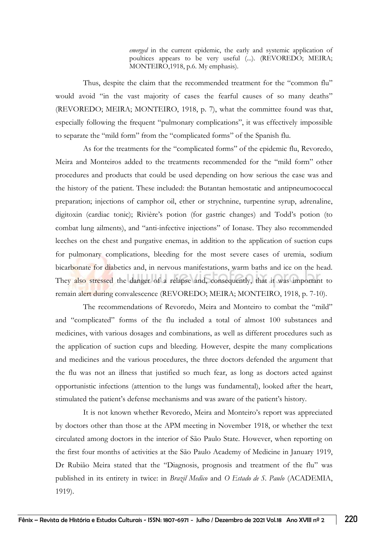*emerged* in the current epidemic, the early and systemic application of poultices appears to be very useful (...). (REVOREDO; MEIRA; MONTEIRO,1918, p.6. My emphasis).

Thus, despite the claim that the recommended treatment for the "common flu" would avoid "in the vast majority of cases the fearful causes of so many deaths" (REVOREDO; MEIRA; MONTEIRO, 1918, p. 7), what the committee found was that, especially following the frequent "pulmonary complications", it was effectively impossible to separate the "mild form" from the "complicated forms" of the Spanish flu.

As for the treatments for the "complicated forms" of the epidemic flu, Revoredo, Meira and Monteiros added to the treatments recommended for the "mild form" other procedures and products that could be used depending on how serious the case was and the history of the patient. These included: the Butantan hemostatic and antipneumococcal preparation; injections of camphor oil, ether or strychnine, turpentine syrup, adrenaline, digitoxin (cardiac tonic); Rivière's potion (for gastric changes) and Todd's potion (to combat lung ailments), and "anti-infective injections" of Ionase. They also recommended leeches on the chest and purgative enemas, in addition to the application of suction cups for pulmonary complications, bleeding for the most severe cases of uremia, sodium bicarbonate for diabetics and, in nervous manifestations, warm baths and ice on the head. They also stressed the danger of a relapse and, consequently, that it was important to remain alert during convalescence (REVOREDO; MEIRA; MONTEIRO, 1918, p. 7-10).

The recommendations of Revoredo, Meira and Monteiro to combat the "mild" and "complicated" forms of the flu included a total of almost 100 substances and medicines, with various dosages and combinations, as well as different procedures such as the application of suction cups and bleeding. However, despite the many complications and medicines and the various procedures, the three doctors defended the argument that the flu was not an illness that justified so much fear, as long as doctors acted against opportunistic infections (attention to the lungs was fundamental), looked after the heart, stimulated the patient's defense mechanisms and was aware of the patient's history.

It is not known whether Revoredo, Meira and Monteiro's report was appreciated by doctors other than those at the APM meeting in November 1918, or whether the text circulated among doctors in the interior of São Paulo State. However, when reporting on the first four months of activities at the São Paulo Academy of Medicine in January 1919, Dr Rubião Meira stated that the "Diagnosis, prognosis and treatment of the flu" was published in its entirety in twice: in *Brazil Medico* and *O Estado de S. Paulo* (ACADEMIA, 1919).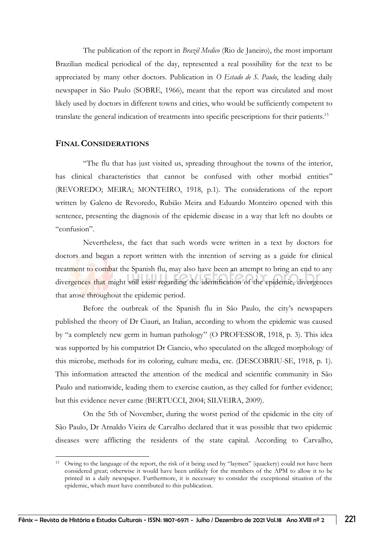The publication of the report in *Brazil Medico* (Rio de Janeiro), the most important Brazilian medical periodical of the day, represented a real possibility for the text to be appreciated by many other doctors. Publication in *O Estado de S. Paulo*, the leading daily newspaper in São Paulo (SOBRE, 1966), meant that the report was circulated and most likely used by doctors in different towns and cities, who would be sufficiently competent to translate the general indication of treatments into specific prescriptions for their patients.<sup>13</sup>

#### **FINAL CONSIDERATIONS**

"The flu that has just visited us, spreading throughout the towns of the interior, has clinical characteristics that cannot be confused with other morbid entities" (REVOREDO; MEIRA; MONTEIRO, 1918, p.1). The considerations of the report written by Galeno de Revoredo, Rubião Meira and Eduardo Monteiro opened with this sentence, presenting the diagnosis of the epidemic disease in a way that left no doubts or "confusion".

Nevertheless, the fact that such words were written in a text by doctors for doctors and began a report written with the intention of serving as a guide for clinical treatment to combat the Spanish flu, may also have been an attempt to bring an end to any divergences that might still exist regarding the identification of the epidemic, divergences that arose throughout the epidemic period.

Before the outbreak of the Spanish flu in São Paulo, the city's newspapers published the theory of Dr Ciauri, an Italian, according to whom the epidemic was caused by "a completely new germ in human pathology" (O PROFESSOR, 1918, p. 3). This idea was supported by his compatriot Dr Ciancio, who speculated on the alleged morphology of this microbe, methods for its coloring, culture media, etc. (DESCOBRIU-SE, 1918, p. 1). This information attracted the attention of the medical and scientific community in São Paulo and nationwide, leading them to exercise caution, as they called for further evidence; but this evidence never came (BERTUCCI, 2004; SILVEIRA, 2009).

On the 5th of November, during the worst period of the epidemic in the city of São Paulo, Dr Arnaldo Vieira de Carvalho declared that it was possible that two epidemic diseases were afflicting the residents of the state capital. According to Carvalho,

<sup>&</sup>lt;sup>13</sup> Owing to the language of the report, the risk of it being used by "laymen" (quackery) could not have been considered great; otherwise it would have been unlikely for the members of the APM to allow it to be printed in a daily newspaper. Furthermore, it is necessary to consider the exceptional situation of the epidemic, which must have contributed to this publication.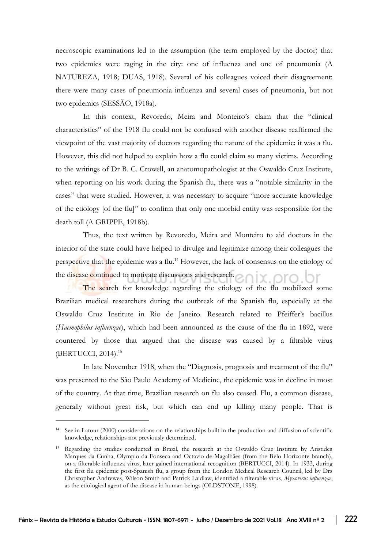necroscopic examinations led to the assumption (the term employed by the doctor) that two epidemics were raging in the city: one of influenza and one of pneumonia (A NATUREZA, 1918; DUAS, 1918). Several of his colleagues voiced their disagreement: there were many cases of pneumonia influenza and several cases of pneumonia, but not two epidemics (SESSÃO, 1918a).

In this context, Revoredo, Meira and Monteiro's claim that the "clinical characteristics" of the 1918 flu could not be confused with another disease reaffirmed the viewpoint of the vast majority of doctors regarding the nature of the epidemic: it was a flu. However, this did not helped to explain how a flu could claim so many victims. According to the writings of Dr B. C. Crowell, an anatomopathologist at the Oswaldo Cruz Institute, when reporting on his work during the Spanish flu, there was a "notable similarity in the cases" that were studied. However, it was necessary to acquire "more accurate knowledge of the etiology [of the flu]" to confirm that only one morbid entity was responsible for the death toll (A GRIPPE, 1918b).

Thus, the text written by Revoredo, Meira and Monteiro to aid doctors in the interior of the state could have helped to divulge and legitimize among their colleagues the perspective that the epidemic was a flu.<sup>14</sup> However, the lack of consensus on the etiology of the disease continued to motivate discussions and research.

The search for knowledge regarding the etiology of the flu mobilized some Brazilian medical researchers during the outbreak of the Spanish flu, especially at the Oswaldo Cruz Institute in Rio de Janeiro. Research related to Pfeiffer's bacillus (*Haemophilus influenzae*), which had been announced as the cause of the flu in 1892, were countered by those that argued that the disease was caused by a filtrable virus (BERTUCCI, 2014). 15

In late November 1918, when the "Diagnosis, prognosis and treatment of the flu" was presented to the São Paulo Academy of Medicine, the epidemic was in decline in most of the country. At that time, Brazilian research on flu also ceased. Flu, a common disease, generally without great risk, but which can end up killing many people. That is

<sup>14</sup> See in Latour (2000) considerations on the relationships built in the production and diffusion of scientific knowledge, relationships not previously determined.

<sup>15</sup> Regarding the studies conducted in Brazil, the research at the Oswaldo Cruz Institute by Aristides Marques da Cunha, Olympio da Fonseca and Octavio de Magalhães (from the Belo Horizonte branch), on a filterable influenza virus, later gained international recognition (BERTUCCI, 2014). In 1933, during the first flu epidemic post-Spanish flu, a group from the London Medical Research Council, led by Drs Christopher Andrewes, Wilson Smith and Patrick Laidlaw, identified a filterable virus, *Myxovirus influenzae*, as the etiological agent of the disease in human beings (OLDSTONE, 1998).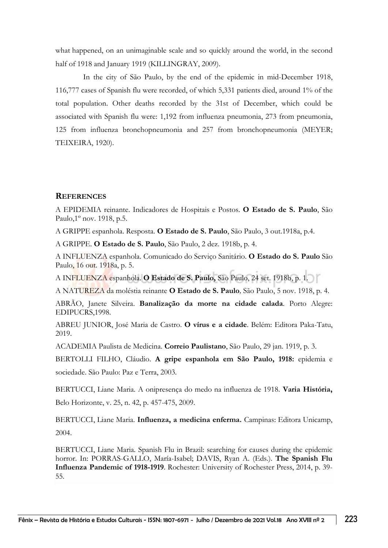what happened, on an unimaginable scale and so quickly around the world, in the second half of 1918 and January 1919 (KILLINGRAY, 2009).

In the city of São Paulo, by the end of the epidemic in mid-December 1918, 116,777 cases of Spanish flu were recorded, of which 5,331 patients died, around 1% of the total population. Other deaths recorded by the 31st of December, which could be associated with Spanish flu were: 1,192 from influenza pneumonia, 273 from pneumonia, 125 from influenza bronchopneumonia and 257 from bronchopneumonia (MEYER; TEIXEIRA, 1920).

#### **REFERENCES**

A EPIDEMIA reinante. Indicadores de Hospitais e Postos. **O Estado de S. Paulo**, São Paulo,1º nov. 1918, p.5.

A GRIPPE espanhola. Resposta. **O Estado de S. Paulo**, São Paulo, 3 out.1918a, p.4.

A GRIPPE. **O Estado de S. Paulo**, São Paulo, 2 dez. 1918b, p. 4.

A INFLUENZA espanhola. Comunicado do Serviço Sanitário. **O Estado do S. Paulo** São Paulo, 16 out. 1918a, p. 5.

A INFLUENZA espanhola. **O Estado de S. Paulo,** São Paulo, 24 set. 1918b, p. 1.

A NATUREZA da moléstia reinante **O Estado de S. Paulo***,* São Paulo, 5 nov. 1918, p. 4.

ABRÃO, Janete Silveira. **Banalização da morte na cidade calada**. Porto Alegre: EDIPUCRS,1998.

ABREU JUNIOR, José Maria de Castro. **O vírus e a cidade**. Belém: Editora Paka-Tatu, 2019.

ACADEMIA Paulista de Medicina. **Correio Paulistano**, São Paulo, 29 jan. 1919, p. 3.

BERTOLLI FILHO, Cláudio. **A gripe espanhola em São Paulo, 1918:** epidemia e sociedade. São Paulo: Paz e Terra, 2003.

BERTUCCI, Liane Maria. A onipresença do medo na influenza de 1918. **Varia História,**  Belo Horizonte, v. 25, n. 42, p. 457-475, 2009.

BERTUCCI, Liane Maria. **Influenza, a medicina enferma.** Campinas: Editora Unicamp, 2004.

BERTUCCI, Liane Maria. Spanish Flu in Brazil: searching for causes during the epidemic horror. In: PORRAS-GALLO, María-Isabel; DAVIS, Ryan A. (Eds.). **The Spanish Flu Influenza Pandemic of 1918-1919**. Rochester: University of Rochester Press, 2014, p. 39- 55.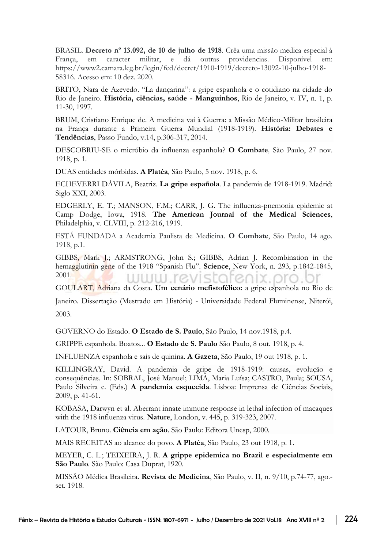BRASIL. **Decreto nº 13.092, de 10 de julho de 1918**. Crêa uma missão medica especial à França, em caracter militar, e dá outras providencias. Disponível em: https://www2.camara.leg.br/legin/fed/decret/1910-1919/decreto-13092-10-julho-1918- 58316. Acesso em: 10 dez. 2020.

BRITO, Nara de Azevedo. "La dançarina": a gripe espanhola e o cotidiano na cidade do Rio de Janeiro. **História, ciências, saúde - Manguinhos**, Rio de Janeiro, v. IV, n. 1, p. 11-30, 1997.

BRUM, Cristiano Enrique de. A medicina vai à Guerra: a Missão Médico-Militar brasileira na França durante a Primeira Guerra Mundial (1918-1919). **História: Debates e Tendências**, Passo Fundo, v.14, p.306-317, 2014.

DESCOBRIU-SE o micróbio da influenza espanhola? **O Combate***,* São Paulo, 27 nov. 1918, p. 1.

DUAS entidades mórbidas. **A Platéa***,* São Paulo, 5 nov. 1918, p. 6.

ECHEVERRI DÁVILA, Beatriz. **La gripe española***.* La pandemia de 1918-1919. Madrid: Siglo XXI, 2003.

EDGERLY, E. T.; MANSON, F.M.; CARR, J. G. The influenza-pnemonia epidemic at Camp Dodge, Iowa, 1918. **The American Journal of the Medical Sciences**, Philadelphia, v. CLVIII, p. 212-216, 1919.

ESTÁ FUNDADA a Academia Paulista de Medicina. **O Combate**, São Paulo, 14 ago. 1918, p.1.

GIBBS, Mark J.; ARMSTRONG, John S.; GIBBS, Adrian J. Recombination in the hemagglutinin gene of the 1918 "Spanish Flu". **Science**, New York, n. 293, p.1842-1845, 2001. WWW.revis 161

GOULART, Adriana da Costa. **Um cenário mefistofélico:** a gripe espanhola no Rio de

Janeiro. Dissertação (Mestrado em História) - Universidade Federal Fluminense, Niterói, 2003.

GOVERNO do Estado. **O Estado de S. Paulo**, São Paulo, 14 nov.1918, p.4.

GRIPPE espanhola. Boatos... **O Estado de S. Paulo** São Paulo, 8 out. 1918, p. 4.

INFLUENZA espanhola e sais de quinina. **A Gazeta**, São Paulo, 19 out 1918, p. 1.

KILLINGRAY, David. A pandemia de gripe de 1918-1919: causas, evolução e consequências. In: SOBRAL, José Manuel; LIMA, Maria Luísa; CASTRO, Paula; SOUSA, Paulo Silveira e. (Eds.) **A pandemia esquecida***.* Lisboa: Imprensa de Ciências Sociais, 2009, p. 41-61.

KOBASA, Darwyn et al. Aberrant innate immune response in lethal infection of macaques with the 1918 influenza virus. **Nature**, London, v. 445, p. 319-323, 2007.

LATOUR, Bruno. **Ciência em ação**. São Paulo: Editora Unesp, 2000.

MAIS RECEITAS ao alcance do povo. **A Platéa**, São Paulo, 23 out 1918, p. 1.

MEYER, C. L.; TEIXEIRA, J. R. **A grippe epidemica no Brazil e especialmente em São Paulo***.* São Paulo: Casa Duprat, 1920.

MISSÃO Médica Brasileira. **Revista de Medicina**, São Paulo, v. II, n. 9/10, p.74-77, ago. set. 1918.